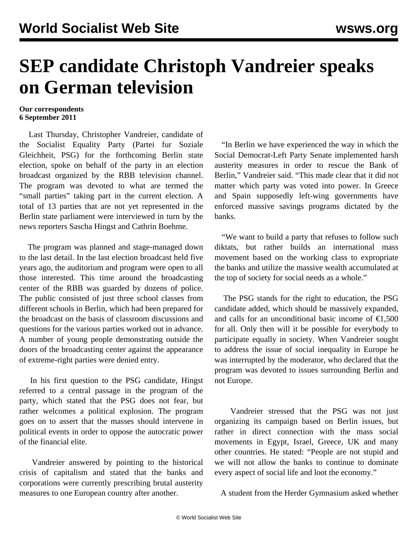## **SEP candidate Christoph Vandreier speaks on German television**

## **Our correspondents 6 September 2011**

 Last Thursday, Christopher Vandreier, candidate of the Socialist Equality Party (Partei fur Soziale Gleichheit, PSG) for the forthcoming Berlin state election, spoke on behalf of the party in an election broadcast organized by the RBB television channel. The program was devoted to what are termed the "small parties" taking part in the current election. A total of 13 parties that are not yet represented in the Berlin state parliament were interviewed in turn by the news reporters Sascha Hingst and Cathrin Boehme.

 The program was planned and stage-managed down to the last detail. In the last election broadcast held five years ago, the auditorium and program were open to all those interested. This time around the broadcasting center of the RBB was guarded by dozens of police. The public consisted of just three school classes from different schools in Berlin, which had been prepared for the broadcast on the basis of classroom discussions and questions for the various parties worked out in advance. A number of young people demonstrating outside the doors of the broadcasting center against the appearance of extreme-right parties were denied entry.

 In his first question to the PSG candidate, Hingst referred to a central passage in the program of the party, which stated that the PSG does not fear, but rather welcomes a political explosion. The program goes on to assert that the masses should intervene in political events in order to oppose the autocratic power of the financial elite.

 Vandreier answered by pointing to the historical crisis of capitalism and stated that the banks and corporations were currently prescribing brutal austerity measures to one European country after another.

 "In Berlin we have experienced the way in which the Social Democrat-Left Party Senate implemented harsh austerity measures in order to rescue the Bank of Berlin," Vandreier said. "This made clear that it did not matter which party was voted into power. In Greece and Spain supposedly left-wing governments have enforced massive savings programs dictated by the banks.

 "We want to build a party that refuses to follow such diktats, but rather builds an international mass movement based on the working class to expropriate the banks and utilize the massive wealth accumulated at the top of society for social needs as a whole."

 The PSG stands for the right to education, the PSG candidate added, which should be massively expanded, and calls for an unconditional basic income of  $\epsilon$ 1,500 for all. Only then will it be possible for everybody to participate equally in society. When Vandreier sought to address the issue of social inequality in Europe he was interrupted by the moderator, who declared that the program was devoted to issues surrounding Berlin and not Europe.

 Vandreier stressed that the PSG was not just organizing its campaign based on Berlin issues, but rather in direct connection with the mass social movements in Egypt, Israel, Greece, UK and many other countries. He stated: "People are not stupid and we will not allow the banks to continue to dominate every aspect of social life and loot the economy."

A student from the Herder Gymnasium asked whether